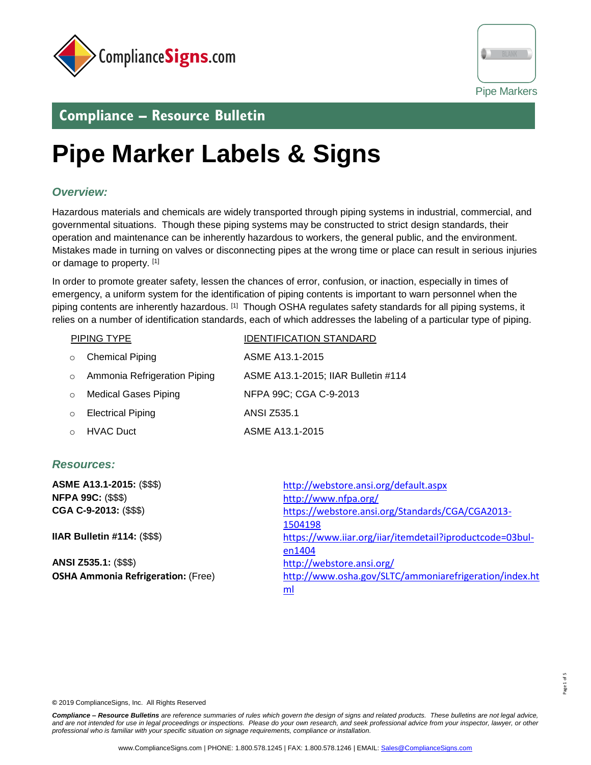



 $1$  of 5

# **Compliance – Resource Bulletin**

# **Pipe Marker Labels & Signs**

### *Overview:*

l

Hazardous materials and chemicals are widely transported through piping systems in industrial, commercial, and governmental situations. Though these piping systems may be constructed to strict design standards, their operation and maintenance can be inherently hazardous to workers, the general public, and the environment. Mistakes made in turning on valves or disconnecting pipes at the wrong time or place can result in serious injuries or damage to property. [1]

In order to promote greater safety, lessen the chances of error, confusion, or inaction, especially in times of emergency, a uniform system for the identification of piping contents is important to warn personnel when the piping contents are inherently hazardous. [1] Though OSHA regulates safety standards for all piping systems, it relies on a number of identification standards, each of which addresses the labeling of a particular type of piping.

|          | PIPING TYPE                  | <b>IDENTIFICATION STANDARD</b>      |  |  |
|----------|------------------------------|-------------------------------------|--|--|
| $\Omega$ | <b>Chemical Piping</b>       | ASME A13.1-2015                     |  |  |
| $\circ$  | Ammonia Refrigeration Piping | ASME A13.1-2015; IIAR Bulletin #114 |  |  |
| $\Omega$ | <b>Medical Gases Piping</b>  | NFPA 99C; CGA C-9-2013              |  |  |
| $\Omega$ | <b>Electrical Piping</b>     | <b>ANSI Z535.1</b>                  |  |  |
|          | <b>HVAC Duct</b>             | ASME A13.1-2015                     |  |  |

### *Resources:*

| ASME A13.1-2015: (\$\$\$)                 | http://webstore.ansi.org/default.aspx                    |
|-------------------------------------------|----------------------------------------------------------|
| <b>NFPA 99C: (\$\$\$)</b>                 | http://www.nfpa.org/                                     |
| CGA C-9-2013: (\$\$\$)                    | https://webstore.ansi.org/Standards/CGA/CGA2013-         |
|                                           | 1504198                                                  |
| <b>IIAR Bulletin #114: (\$\$\$)</b>       | https://www.iiar.org/iiar/itemdetail?iproductcode=03bul- |
|                                           | en1404                                                   |
| ANSI Z535.1: (\$\$\$)                     | http://webstore.ansi.org/                                |
| <b>OSHA Ammonia Refrigeration: (Free)</b> | http://www.osha.gov/SLTC/ammoniarefrigeration/index.ht   |
|                                           | ml                                                       |

**©** 2019 ComplianceSigns, Inc. All Rights Reserved

*Compliance – Resource Bulletins are reference summaries of rules which govern the design of signs and related products. These bulletins are not legal advice, and are not intended for use in legal proceedings or inspections. Please do your own research, and seek professional advice from your inspector, lawyer, or other professional who is familiar with your specific situation on signage requirements, compliance or installation.*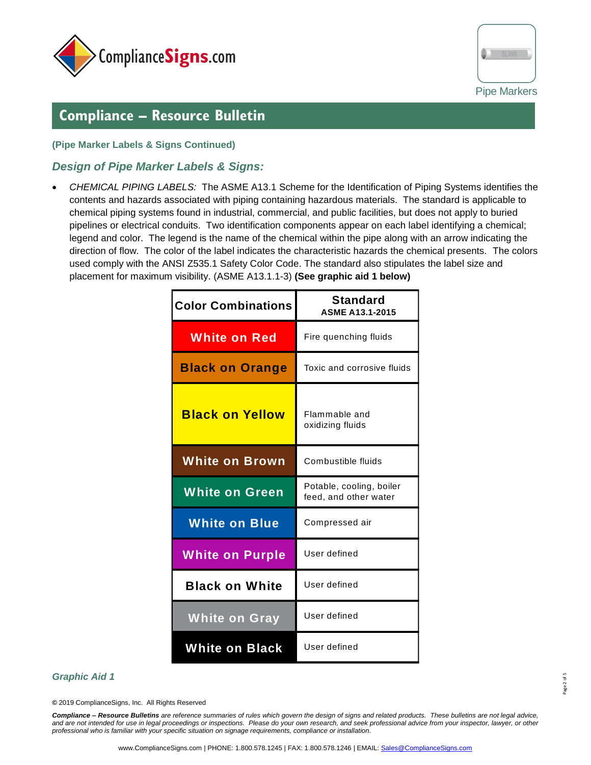



### **Compliance – Resource Bulletin**

### **(Pipe Marker Labels & Signs Continued)**

l

### *Design of Pipe Marker Labels & Signs:*

• *CHEMICAL PIPING LABELS:* The ASME A13.1 Scheme for the Identification of Piping Systems identifies the contents and hazards associated with piping containing hazardous materials. The standard is applicable to chemical piping systems found in industrial, commercial, and public facilities, but does not apply to buried pipelines or electrical conduits. Two identification components appear on each label identifying a chemical; legend and color. The legend is the name of the chemical within the pipe along with an arrow indicating the direction of flow. The color of the label indicates the characteristic hazards the chemical presents. The colors used comply with the ANSI Z535.1 Safety Color Code. The standard also stipulates the label size and placement for maximum visibility. (ASME A13.1.1-3) **(See graphic aid 1 below)**

| <b>Color Combinations</b> | <b>Standard</b><br><b>ASME A13.1-2015</b>         |  |  |
|---------------------------|---------------------------------------------------|--|--|
| <b>White on Red</b>       | Fire quenching fluids                             |  |  |
| <b>Black on Orange</b>    | Toxic and corrosive fluids                        |  |  |
| <b>Black on Yellow</b>    | Flammable and<br>oxidizing fluids                 |  |  |
| <b>White on Brown</b>     | Combustible fluids                                |  |  |
| <b>White on Green</b>     | Potable, cooling, boiler<br>feed, and other water |  |  |
| <b>White on Blue</b>      | Compressed air                                    |  |  |
| <b>White on Purple</b>    | User defined                                      |  |  |
| <b>Black on White</b>     | User defined                                      |  |  |
| <b>White on Gray</b>      | User defined                                      |  |  |
| <b>White on Black</b>     | User defined                                      |  |  |

#### *Graphic Aid 1*

**©** 2019 ComplianceSigns, Inc. All Rights Reserved

*Compliance – Resource Bulletins are reference summaries of rules which govern the design of signs and related products. These bulletins are not legal advice, and are not intended for use in legal proceedings or inspections. Please do your own research, and seek professional advice from your inspector, lawyer, or other professional who is familiar with your specific situation on signage requirements, compliance or installation.*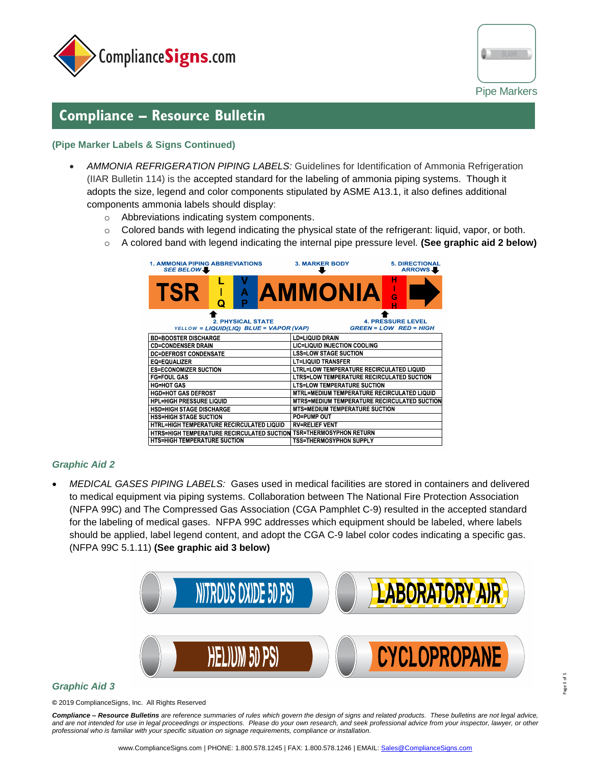

l



## **Compliance – Resource Bulletin**

### **(Pipe Marker Labels & Signs Continued)**

- *AMMONIA REFRIGERATION PIPING LABELS:* Guidelines for Identification of Ammonia Refrigeration (IIAR Bulletin 114) is the accepted standard for the labeling of ammonia piping systems. Though it adopts the size, legend and color components stipulated by ASME A13.1, it also defines additional components ammonia labels should display:
	- o Abbreviations indicating system components.
	- o Colored bands with legend indicating the physical state of the refrigerant: liquid, vapor, or both.
	- o A colored band with legend indicating the internal pipe pressure level. **(See graphic aid 2 below)**

| <b>1. AMMONIA PIPING ABBREVIATIONS</b><br>SEE BELOW  |   |        |                                         | <b>3. MARKER BODY</b>                               |  | <b>5. DIRECTIONAL</b><br><b>ARROWS</b> |  |  |
|------------------------------------------------------|---|--------|-----------------------------------------|-----------------------------------------------------|--|----------------------------------------|--|--|
| TSR                                                  | Q | A<br>P |                                         | <b>AMMONIA</b>                                      |  |                                        |  |  |
| <b>2. PHYSICAL STATE</b><br><b>4. PRESSURE LEVEL</b> |   |        |                                         |                                                     |  |                                        |  |  |
|                                                      |   |        | YELLOW = LIQUID(LIQ) BLUE = VAPOR (VAP) |                                                     |  | $GREFN = LOW$ RED = HIGH               |  |  |
| <b>BD=BOOSTER DISCHARGE</b>                          |   |        |                                         | <b>LD=LIQUID DRAIN</b>                              |  |                                        |  |  |
| <b>CD=CONDENSER DRAIN</b>                            |   |        |                                         | LIC=LIQUID INJECTION COOLING                        |  |                                        |  |  |
| <b>DC=DEFROST CONDENSATE</b>                         |   |        |                                         | <b>LSS=LOW STAGE SUCTION</b>                        |  |                                        |  |  |
| <b>EQ=EQUALIZER</b>                                  |   |        |                                         | <b>LT=LIQUID TRANSFER</b>                           |  |                                        |  |  |
| <b>ES=ECONOMIZER SUCTION</b>                         |   |        |                                         | <b>LTRL=LOW TEMPERATURE RECIRCULATED LIQUID</b>     |  |                                        |  |  |
| <b>FG=FOUL GAS</b>                                   |   |        |                                         | <b>LTRS=LOW TEMPERATURE RECIRCULATED SUCTION</b>    |  |                                        |  |  |
| <b>HG=HOT GAS</b>                                    |   |        |                                         | <b>LTS=LOW TEMPERATURE SUCTION</b>                  |  |                                        |  |  |
| <b>HGD=HOT GAS DEFROST</b>                           |   |        |                                         | MTRL=MEDIUM TEMPERATURE RECIRCULATED LIQUID         |  |                                        |  |  |
| <b>HPL=HIGH PRESSURE LIQUID</b>                      |   |        |                                         | <b>MTRS=MEDIUM TEMPERATURE RECIRCULATED SUCTION</b> |  |                                        |  |  |
| <b>HSD=HIGH STAGE DISCHARGE</b>                      |   |        |                                         | <b>MTS=MEDIUM TEMPERATURE SUCTION</b>               |  |                                        |  |  |
| <b>HSS=HIGH STAGE SUCTION</b>                        |   |        |                                         | <b>PO=PUMP OUT</b>                                  |  |                                        |  |  |
| <b>HTRL=HIGH TEMPERATURE RECIRCULATED LIQUID</b>     |   |        |                                         | <b>RV=RELIEF VENT</b>                               |  |                                        |  |  |
| <b>HTRS=HIGH TEMPERATURE RECIRCULATED SUCTION</b>    |   |        |                                         | <b>TSR=THERMOSYPHON RETURN</b>                      |  |                                        |  |  |
| <b>HTS=HIGH TEMPERATURE SUCTION</b>                  |   |        |                                         | <b>TSS=THERMOSYPHON SUPPLY</b>                      |  |                                        |  |  |

### *Graphic Aid 2*

• *MEDICAL GASES PIPING LABELS:* Gases used in medical facilities are stored in containers and delivered to medical equipment via piping systems. Collaboration between The National Fire Protection Association (NFPA 99C) and The Compressed Gas Association (CGA Pamphlet C-9) resulted in the accepted standard for the labeling of medical gases. NFPA 99C addresses which equipment should be labeled, where labels should be applied, label legend content, and adopt the CGA C-9 label color codes indicating a specific gas. (NFPA 99C 5.1.11) **(See graphic aid 3 below)**



#### *Graphic Aid 3*

**©** 2019 ComplianceSigns, Inc. All Rights Reserved

*Compliance – Resource Bulletins are reference summaries of rules which govern the design of signs and related products. These bulletins are not legal advice, and are not intended for use in legal proceedings or inspections. Please do your own research, and seek professional advice from your inspector, lawyer, or other professional who is familiar with your specific situation on signage requirements, compliance or installation.*

Page 3 of 5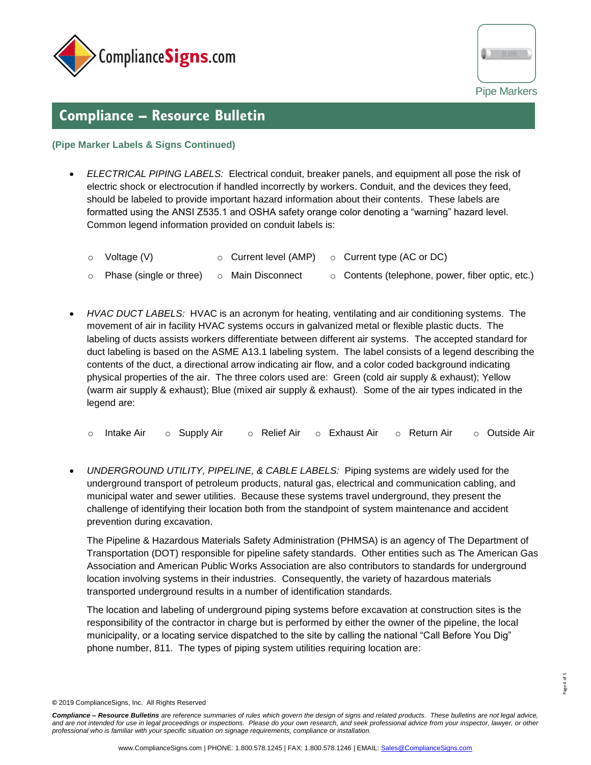

l



## **Compliance – Resource Bulletin**

#### **(Pipe Marker Labels & Signs Continued)**

- *ELECTRICAL PIPING LABELS:* Electrical conduit, breaker panels, and equipment all pose the risk of electric shock or electrocution if handled incorrectly by workers. Conduit, and the devices they feed, should be labeled to provide important hazard information about their contents. These labels are formatted using the ANSI Z535.1 and OSHA safety orange color denoting a "warning" hazard level. Common legend information provided on conduit labels is:
	- $\circ$  Voltage (V)  $\circ$  Current level (AMP)  $\circ$  Current type (AC or DC)
	- o Phase (single or three) o Main Disconnect o Contents (telephone, power, fiber optic, etc.)
- *HVAC DUCT LABELS:* HVAC is an acronym for heating, ventilating and air conditioning systems. The movement of air in facility HVAC systems occurs in galvanized metal or flexible plastic ducts. The labeling of ducts assists workers differentiate between different air systems. The accepted standard for duct labeling is based on the ASME A13.1 labeling system. The label consists of a legend describing the contents of the duct, a directional arrow indicating air flow, and a color coded background indicating physical properties of the air. The three colors used are: Green (cold air supply & exhaust); Yellow (warm air supply & exhaust); Blue (mixed air supply & exhaust). Some of the air types indicated in the legend are:
	- o Intake Air o Supply Air o Relief Air o Exhaust Air o Return Air o Outside Air
- *UNDERGROUND UTILITY, PIPELINE, & CABLE LABELS:* Piping systems are widely used for the underground transport of petroleum products, natural gas, electrical and communication cabling, and municipal water and sewer utilities. Because these systems travel underground, they present the challenge of identifying their location both from the standpoint of system maintenance and accident prevention during excavation.

The Pipeline & Hazardous Materials Safety Administration (PHMSA) is an agency of The Department of Transportation (DOT) responsible for pipeline safety standards. Other entities such as The American Gas Association and American Public Works Association are also contributors to standards for underground location involving systems in their industries. Consequently, the variety of hazardous materials transported underground results in a number of identification standards.

The location and labeling of underground piping systems before excavation at construction sites is the responsibility of the contractor in charge but is performed by either the owner of the pipeline, the local municipality, or a locating service dispatched to the site by calling the national "Call Before You Dig" phone number, 811. The types of piping system utilities requiring location are:

**<sup>©</sup>** 2019 ComplianceSigns, Inc. All Rights Reserved

*Compliance – Resource Bulletins are reference summaries of rules which govern the design of signs and related products. These bulletins are not legal advice, and are not intended for use in legal proceedings or inspections. Please do your own research, and seek professional advice from your inspector, lawyer, or other professional who is familiar with your specific situation on signage requirements, compliance or installation.*